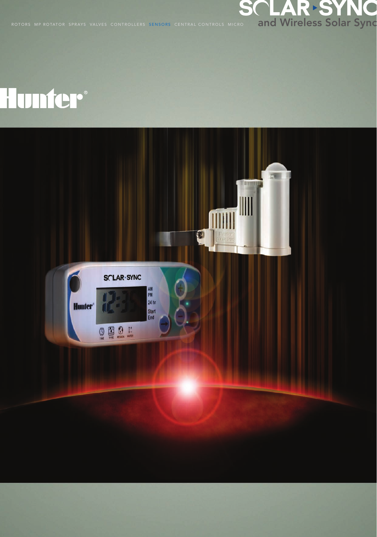

## Hunter®

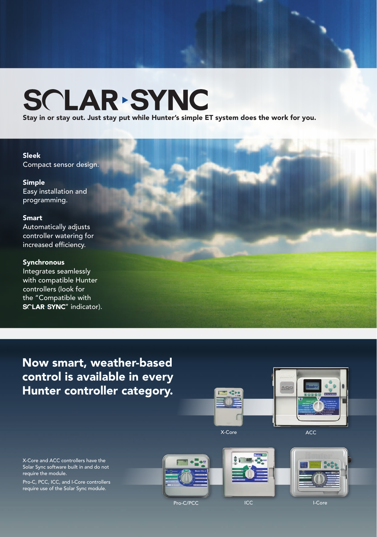# SCLAR SYNC

Stay in or stay out. Just stay put while Hunter's simple ET system does the work for you.

## Sleek

Compact sensor design.

## Simple Easy installation and programming.

## Smart

Automatically adjusts controller watering for increased efficiency.

## **Synchronous**

Integrates seamlessly with compatible Hunter controllers (look for the "Compatible with SCLAR<sup>></sup>SYNC" indicator).

## Now smart, weather-based control is available in every Hunter controller category.



X-Core and ACC controllers have the Solar Sync software built in and do not require the module.

Pro-C, PCC, ICC, and I-Core controllers require use of the Solar Sync module.







Pro-C/PCC ICC ICC I-Core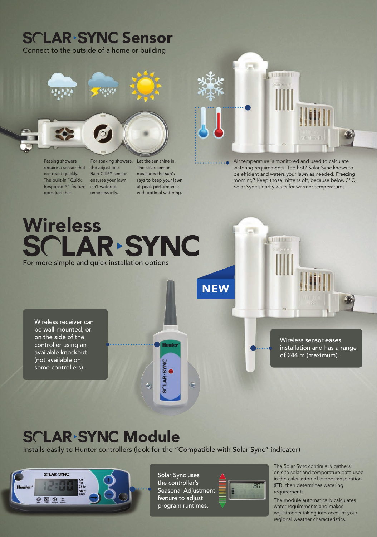## **SCLAR SYNC Sensor** Connect to the outside of a home or building  $\overline{a}$ 11111111111 图 Passing showers Air temperature is monitored and used to calculate For soaking showers, Let the sun shine in. require a sensor that the adjustable The solar sensor watering requirements. Too hot? Solar Sync knows to can react quickly. Rain-Clik™ sensor measures the sun's be efficient and waters your lawn as needed. Freezing The built-in "Quick ensures your lawn rays to keep your lawn morning? Keep those mittens off, because below 3° C, Response™" feature isn't watered at peak performance Solar Sync smartly waits for warmer temperatures. does just that. unnecessarily. with optimal watering. Wireless<br>SCLAR-SYNC  $\tau_{\rm m}$ **TO DEPERTE LO** For more simple and quick installation options**NEW** Wireless receiver can be wall-mounted, or on the side of the Wireless sensor eases controller using an Huntey installation and has a range available knockout of 244 m (maximum). (not available on **SCLAR-SYNC** some controllers).

## **SCLAR SYNC Module**

Installs easily to Hunter controllers (look for the "Compatible with Solar Sync" indicator)



Solar Sync uses the controller's Seasonal Adjustment feature to adjust program runtimes.



The Solar Sync continually gathers on-site solar and temperature data used in the calculation of evapotranspiration (ET), then determines watering requirements.

The module automatically calculates water requirements and makes adjustments taking into account your regional weather characteristics.